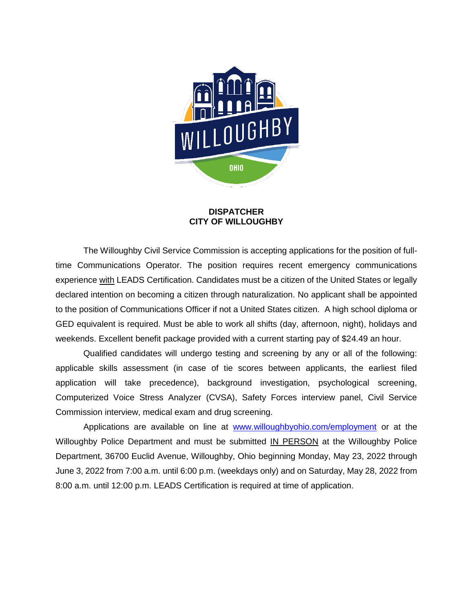

#### **DISPATCHER CITY OF WILLOUGHBY**

The Willoughby Civil Service Commission is accepting applications for the position of fulltime Communications Operator. The position requires recent emergency communications experience with LEADS Certification. Candidates must be a citizen of the United States or legally declared intention on becoming a citizen through naturalization. No applicant shall be appointed to the position of Communications Officer if not a United States citizen. A high school diploma or GED equivalent is required. Must be able to work all shifts (day, afternoon, night), holidays and weekends. Excellent benefit package provided with a current starting pay of \$24.49 an hour.

Qualified candidates will undergo testing and screening by any or all of the following: applicable skills assessment (in case of tie scores between applicants, the earliest filed application will take precedence), background investigation, psychological screening, Computerized Voice Stress Analyzer (CVSA), Safety Forces interview panel, Civil Service Commission interview, medical exam and drug screening.

Applications are available on line at [www.willoughbyohio.com/employment](http://www.willoughbyohio.com/employment) or at the Willoughby Police Department and must be submitted IN PERSON at the Willoughby Police Department, 36700 Euclid Avenue, Willoughby, Ohio beginning Monday, May 23, 2022 through June 3, 2022 from 7:00 a.m. until 6:00 p.m. (weekdays only) and on Saturday, May 28, 2022 from 8:00 a.m. until 12:00 p.m. LEADS Certification is required at time of application.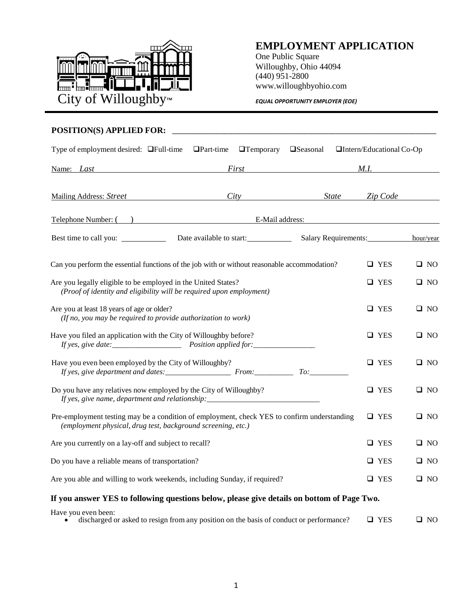

### **EMPLOYMENT APPLICATION**

One Public Square Willoughby, Ohio 44094 (440) 951-2800 www.willoughbyohio.com

#### **POSITION(S) APPLIED FOR: \_\_\_\_\_\_\_\_\_\_\_\_\_\_\_\_\_\_\_\_\_\_\_\_\_\_\_\_\_\_\_\_\_\_\_\_\_\_\_\_\_\_\_\_\_\_\_\_\_\_\_\_\_\_\_\_\_\_\_\_\_\_\_\_\_\_\_\_\_\_\_\_\_\_\_\_**

| Type of employment desired: $\Box$ Full-time $\Box$ Part-time                                                                                               | $\Box$ Temporary $\Box$ Seasonal | □Intern/Educational Co-Op      |              |
|-------------------------------------------------------------------------------------------------------------------------------------------------------------|----------------------------------|--------------------------------|--------------|
| Name: <i>Last</i>                                                                                                                                           |                                  | First M.I.                     |              |
| <b>Mailing Address: Street</b>                                                                                                                              |                                  | City State Zip Code            |              |
| Telephone Number: ( ) E-Mail address:                                                                                                                       |                                  |                                |              |
|                                                                                                                                                             |                                  | Salary Requirements: hour/year |              |
| Can you perform the essential functions of the job with or without reasonable accommodation?                                                                |                                  | $\Box$ YES                     | $\square$ NO |
| Are you legally eligible to be employed in the United States?<br>(Proof of identity and eligibility will be required upon employment)                       |                                  | $\Box$ YES                     | $\square$ NO |
| Are you at least 18 years of age or older?<br>(If no, you may be required to provide authorization to work)                                                 |                                  | $\Box$ YES                     | $\square$ NO |
| Have you filed an application with the City of Willoughby before?                                                                                           |                                  | □ YES                          | $\square$ NO |
| Have you even been employed by the City of Willoughby?                                                                                                      |                                  | $\Box$ YES                     | □ NO         |
| Do you have any relatives now employed by the City of Willoughby?<br>If yes, give name, department and relationship: ________________________________       |                                  | $\Box$ YES                     | $\square$ NO |
| Pre-employment testing may be a condition of employment, check YES to confirm understanding<br>(employment physical, drug test, background screening, etc.) |                                  | $\Box$ YES                     | $\square$ NO |
| Are you currently on a lay-off and subject to recall?                                                                                                       |                                  | $\Box$ YES                     | □ NO         |
| Do you have a reliable means of transportation?                                                                                                             |                                  | $\Box$ YES                     | $\square$ NO |
| Are you able and willing to work weekends, including Sunday, if required?                                                                                   |                                  | $\Box$ YES                     | $\square$ NO |
| If you answer YES to following questions below, please give details on bottom of Page Two.                                                                  |                                  |                                |              |
| Have you even been:                                                                                                                                         |                                  |                                |              |

 $\bullet$  discharged or asked to resign from any position on the basis of conduct or performance?  $\Box$  YES  $\Box$  NO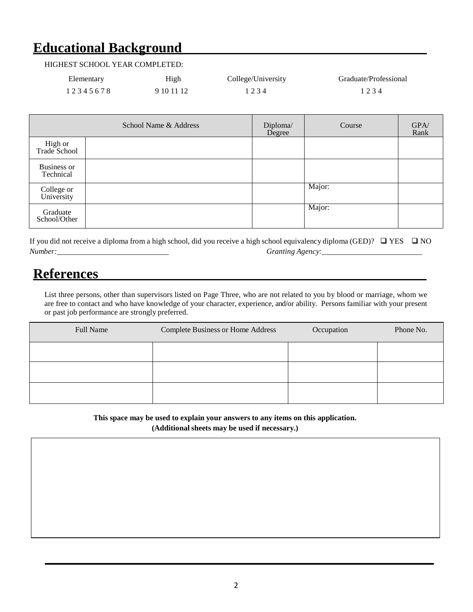### **Educational Background**

#### HIGHEST SCHOOL YEAR COMPLETED:

| Elementary | High       | College/University | Graduate/Professional |
|------------|------------|--------------------|-----------------------|
| 12345678   | 9 10 11 12 | 1234               | 1234                  |

|                                 | School Name & Address | Diploma/<br>Degree | Course | GPA/<br>Rank |
|---------------------------------|-----------------------|--------------------|--------|--------------|
| High or<br>Trade School         |                       |                    |        |              |
| <b>Business or</b><br>Technical |                       |                    |        |              |
| College or<br>University        |                       |                    | Major: |              |
| Graduate<br>School/Other        |                       |                    | Major: |              |

If you did not receive a diploma from a high school, did you receive a high school equivalency diploma (GED)?  $\Box$  YES  $\Box$  NO *Number:\_\_\_\_\_\_\_\_\_\_\_\_\_\_\_\_\_\_\_\_\_\_\_\_\_\_\_\_\_ Granting Agency:\_\_\_\_\_\_\_\_\_\_\_\_\_\_\_\_\_\_\_\_\_\_\_\_\_\_*

### **References**

List three persons, other than supervisors listed on Page Three, who are not related to you by blood or marriage, whom we are free to contact and who have knowledge of your character, experience, and/or ability. Persons familiar with your present or past job performance are strongly preferred.

| Full Name | Complete Business or Home Address | Occupation | Phone No. |
|-----------|-----------------------------------|------------|-----------|
|           |                                   |            |           |
|           |                                   |            |           |
|           |                                   |            |           |

**This space may be used to explain your answers to any items on this application.**

**(Additional sheets may be used if necessary.)**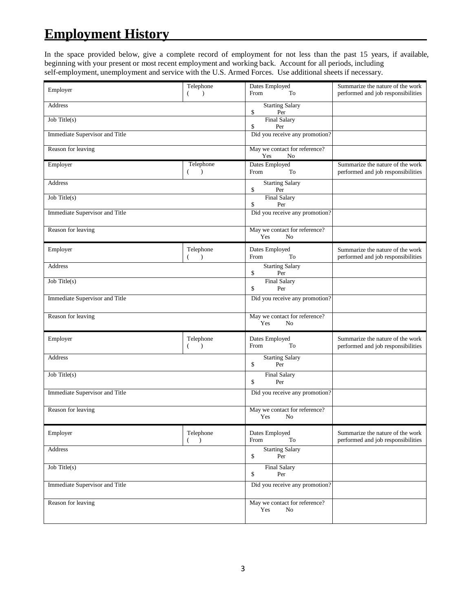## **Employment History**

In the space provided below, give a complete record of employment for not less than the past 15 years, if available, beginning with your present or most recent employment and working back. Account for all periods, including self-employment, unemployment and service with the U.S. Armed Forces. Use additional sheets if necessary.

|                                | Telephone                              | Dates Employed                                         | Summarize the nature of the work                                       |
|--------------------------------|----------------------------------------|--------------------------------------------------------|------------------------------------------------------------------------|
| Employer                       | $\lambda$<br>(                         | From<br>To                                             | performed and job responsibilities                                     |
| Address                        |                                        | <b>Starting Salary</b><br>\$<br>Per                    |                                                                        |
| $Job$ Title $(s)$              |                                        | <b>Final Salary</b><br>\$<br>Per                       |                                                                        |
| Immediate Supervisor and Title |                                        | Did you receive any promotion?                         |                                                                        |
| Reason for leaving             |                                        | May we contact for reference?<br>Yes<br>No             |                                                                        |
| Employer                       | Telephone<br>€<br>$\rightarrow$        | Dates Employed<br>From<br>To                           | Summarize the nature of the work<br>performed and job responsibilities |
| <b>Address</b>                 |                                        | <b>Starting Salary</b><br>\$<br>Per                    |                                                                        |
| Job Title(s)                   |                                        | <b>Final Salary</b><br>\$<br>Per                       |                                                                        |
| Immediate Supervisor and Title |                                        | Did you receive any promotion?                         |                                                                        |
| Reason for leaving             |                                        | May we contact for reference?<br>Yes<br>N <sub>0</sub> |                                                                        |
| Employer                       | Telephone<br>$\rightarrow$<br>(        | Dates Employed<br>From<br>To                           | Summarize the nature of the work<br>performed and job responsibilities |
| <b>Address</b>                 |                                        | <b>Starting Salary</b><br>\$<br>Per                    |                                                                        |
| Job Title(s)                   |                                        | <b>Final Salary</b><br>\$<br>Per                       |                                                                        |
| Immediate Supervisor and Title |                                        | Did you receive any promotion?                         |                                                                        |
| Reason for leaving             |                                        | May we contact for reference?<br>Yes<br>N <sub>0</sub> |                                                                        |
| Employer                       | Telephone<br>$\left($<br>$\rightarrow$ | Dates Employed<br>From<br>To                           | Summarize the nature of the work<br>performed and job responsibilities |
| Address                        |                                        | <b>Starting Salary</b><br>\$<br>Per                    |                                                                        |
| Job Title $(s)$                |                                        | <b>Final Salary</b><br>\$<br>Per                       |                                                                        |
| Immediate Supervisor and Title |                                        | Did you receive any promotion?                         |                                                                        |
| Reason for leaving             |                                        | May we contact for reference?<br>Yes<br>No             |                                                                        |
| Employer                       | Telephone<br>$\rightarrow$             | Dates Employed<br>From<br>To                           | Summarize the nature of the work<br>performed and job responsibilities |
| Address                        |                                        | <b>Starting Salary</b><br>\$<br>Per                    |                                                                        |
| Job Title(s)                   |                                        | <b>Final Salary</b><br>\$<br>Per                       |                                                                        |
| Immediate Supervisor and Title |                                        | Did you receive any promotion?                         |                                                                        |
| Reason for leaving             |                                        | May we contact for reference?<br>Yes<br>No             |                                                                        |
|                                |                                        |                                                        |                                                                        |